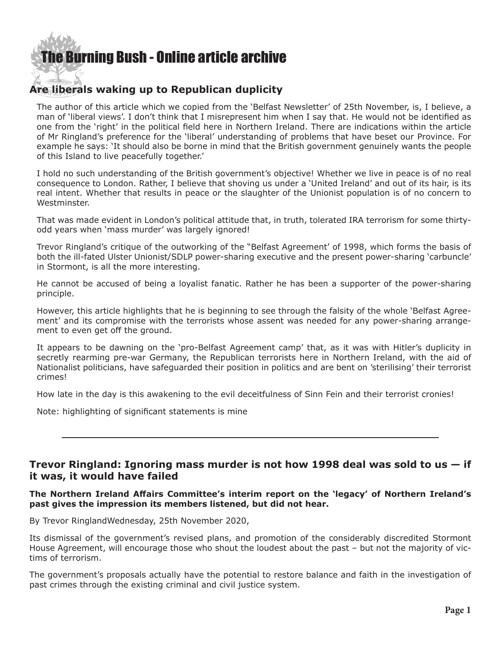# [The Burning Bush - Online article archive](http://www.ivanfoster.net)

#### $d_{\rm max}$ **Are liberals waking up to Republican duplicity**

The author of this article which we copied from the 'Belfast Newsletter' of 25th November, is, I believe, a man of 'liberal views'. I don't think that I misrepresent him when I say that. He would not be identified as one from the 'right' in the political field here in Northern Ireland. There are indications within the article of Mr Ringland's preference for the 'liberal' understanding of problems that have beset our Province. For example he says: 'It should also be borne in mind that the British government genuinely wants the people of this Island to live peacefully together.'

I hold no such understanding of the British government's objective! Whether we live in peace is of no real consequence to London. Rather, I believe that shoving us under a 'United Ireland' and out of its hair, is its real intent. Whether that results in peace or the slaughter of the Unionist population is of no concern to Westminster.

That was made evident in London's political attitude that, in truth, tolerated IRA terrorism for some thirtyodd years when 'mass murder' was largely ignored!

Trevor Ringland's critique of the outworking of the "Belfast Agreement' of 1998, which forms the basis of both the ill-fated Ulster Unionist/SDLP power-sharing executive and the present power-sharing 'carbuncle' in Stormont, is all the more interesting.

He cannot be accused of being a loyalist fanatic. Rather he has been a supporter of the power-sharing principle.

However, this article highlights that he is beginning to see through the falsity of the whole 'Belfast Agreement' and its compromise with the terrorists whose assent was needed for any power-sharing arrangement to even get off the ground.

It appears to be dawning on the 'pro-Belfast Agreement camp' that, as it was with Hitler's duplicity in secretly rearming pre-war Germany, the Republican terrorists here in Northern Ireland, with the aid of Nationalist politicians, have safeguarded their position in politics and are bent on 'sterilising' their terrorist crimes!

How late in the day is this awakening to the evil deceitfulness of Sinn Fein and their terrorist cronies!

Note: highlighting of significant statements is mine

## **Trevor Ringland: Ignoring mass murder is not how 1998 deal was sold to us — if it was, it would have failed**

### **The Northern Ireland Affairs Committee's interim report on the 'legacy' of Northern Ireland's past gives the impression its members listened, but did not hear.**

By Trevor RinglandWednesday, 25th November 2020,

Its dismissal of the government's revised plans, and promotion of the considerably discredited Stormont House Agreement, will encourage those who shout the loudest about the past – but not the majority of victims of terrorism.

The government's proposals actually have the potential to restore balance and faith in the investigation of past crimes through the existing criminal and civil justice system.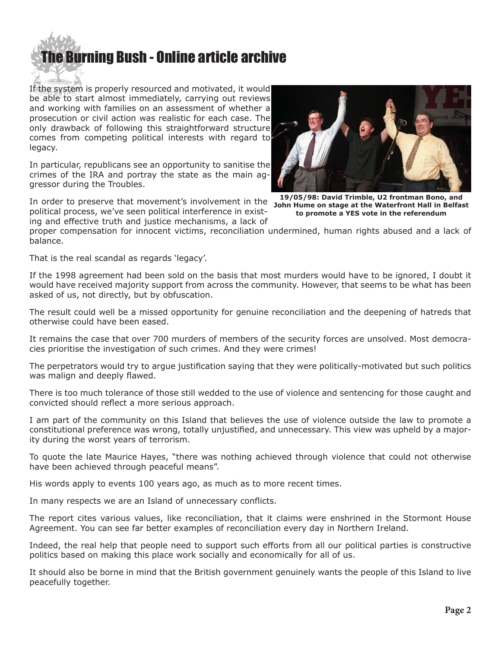

If the system is properly resourced and motivated, it would be able to start almost immediately, carrying out reviews and working with families on an assessment of whether a prosecution or civil action was realistic for each case. The only drawback of following this straightforward structure comes from competing political interests with regard to legacy.

In particular, republicans see an opportunity to sanitise the crimes of the IRA and portray the state as the main aggressor during the Troubles.

In order to preserve that movement's involvement in the **19/05/98: David Trimble, U2 frontman Bono, and**  political process, we've seen political interference in existing and effective truth and justice mechanisms, a lack of



**John Hume on stage at the Waterfront Hall in Belfast to promote a YES vote in the referendum**

proper compensation for innocent victims, reconciliation undermined, human rights abused and a lack of balance.

That is the real scandal as regards 'legacy'.

If the 1998 agreement had been sold on the basis that most murders would have to be ignored, I doubt it would have received majority support from across the community. However, that seems to be what has been asked of us, not directly, but by obfuscation.

The result could well be a missed opportunity for genuine reconciliation and the deepening of hatreds that otherwise could have been eased.

It remains the case that over 700 murders of members of the security forces are unsolved. Most democracies prioritise the investigation of such crimes. And they were crimes!

The perpetrators would try to argue justification saying that they were politically-motivated but such politics was malign and deeply flawed.

There is too much tolerance of those still wedded to the use of violence and sentencing for those caught and convicted should reflect a more serious approach.

I am part of the community on this Island that believes the use of violence outside the law to promote a constitutional preference was wrong, totally unjustified, and unnecessary. This view was upheld by a majority during the worst years of terrorism.

To quote the late Maurice Hayes, "there was nothing achieved through violence that could not otherwise have been achieved through peaceful means".

His words apply to events 100 years ago, as much as to more recent times.

In many respects we are an Island of unnecessary conflicts.

The report cites various values, like reconciliation, that it claims were enshrined in the Stormont House Agreement. You can see far better examples of reconciliation every day in Northern Ireland.

Indeed, the real help that people need to support such efforts from all our political parties is constructive politics based on making this place work socially and economically for all of us.

It should also be borne in mind that the British government genuinely wants the people of this Island to live peacefully together.